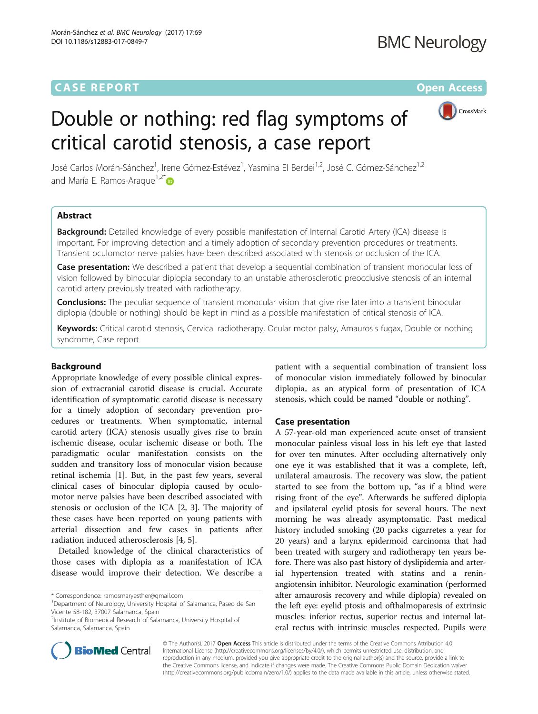# **CASE REPORT CASE REPORT CASE REPORT**



# Double or nothing: red flag symptoms of critical carotid stenosis, a case report

José Carlos Morán-Sánchez<sup>1</sup>, Irene Gómez-Estévez<sup>1</sup>, Yasmina El Berdei<sup>1,2</sup>, José C. Gómez-Sánchez<sup>1,2</sup> and María E. Ramos-Araque<sup>1,2\*</sup>

# Abstract

**Background:** Detailed knowledge of every possible manifestation of Internal Carotid Artery (ICA) disease is important. For improving detection and a timely adoption of secondary prevention procedures or treatments. Transient oculomotor nerve palsies have been described associated with stenosis or occlusion of the ICA.

Case presentation: We described a patient that develop a sequential combination of transient monocular loss of vision followed by binocular diplopia secondary to an unstable atherosclerotic preocclusive stenosis of an internal carotid artery previously treated with radiotherapy.

**Conclusions:** The peculiar sequence of transient monocular vision that give rise later into a transient binocular diplopia (double or nothing) should be kept in mind as a possible manifestation of critical stenosis of ICA.

Keywords: Critical carotid stenosis, Cervical radiotherapy, Ocular motor palsy, Amaurosis fugax, Double or nothing syndrome, Case report

## Background

Appropriate knowledge of every possible clinical expression of extracranial carotid disease is crucial. Accurate identification of symptomatic carotid disease is necessary for a timely adoption of secondary prevention procedures or treatments. When symptomatic, internal carotid artery (ICA) stenosis usually gives rise to brain ischemic disease, ocular ischemic disease or both. The paradigmatic ocular manifestation consists on the sudden and transitory loss of monocular vision because retinal ischemia [\[1](#page-3-0)]. But, in the past few years, several clinical cases of binocular diplopia caused by oculomotor nerve palsies have been described associated with stenosis or occlusion of the ICA [[2, 3\]](#page-3-0). The majority of these cases have been reported on young patients with arterial dissection and few cases in patients after radiation induced atherosclerosis [[4, 5\]](#page-3-0).

Detailed knowledge of the clinical characteristics of those cases with diplopia as a manifestation of ICA disease would improve their detection. We describe a



## Case presentation

A 57-year-old man experienced acute onset of transient monocular painless visual loss in his left eye that lasted for over ten minutes. After occluding alternatively only one eye it was established that it was a complete, left, unilateral amaurosis. The recovery was slow, the patient started to see from the bottom up, "as if a blind were rising front of the eye". Afterwards he suffered diplopia and ipsilateral eyelid ptosis for several hours. The next morning he was already asymptomatic. Past medical history included smoking (20 packs cigarretes a year for 20 years) and a larynx epidermoid carcinoma that had been treated with surgery and radiotherapy ten years before. There was also past history of dyslipidemia and arterial hypertension treated with statins and a reninangiotensin inhibitor. Neurologic examination (performed after amaurosis recovery and while diplopia) revealed on the left eye: eyelid ptosis and ofthalmoparesis of extrinsic muscles: inferior rectus, superior rectus and internal lateral rectus with intrinsic muscles respected. Pupils were



© The Author(s). 2017 **Open Access** This article is distributed under the terms of the Creative Commons Attribution 4.0 International License [\(http://creativecommons.org/licenses/by/4.0/](http://creativecommons.org/licenses/by/4.0/)), which permits unrestricted use, distribution, and reproduction in any medium, provided you give appropriate credit to the original author(s) and the source, provide a link to the Creative Commons license, and indicate if changes were made. The Creative Commons Public Domain Dedication waiver [\(http://creativecommons.org/publicdomain/zero/1.0/](http://creativecommons.org/publicdomain/zero/1.0/)) applies to the data made available in this article, unless otherwise stated.

<sup>\*</sup> Correspondence: [ramosmaryesther@gmail.com](mailto:ramosmaryesther@gmail.com) <sup>1</sup>

<sup>&</sup>lt;sup>1</sup>Department of Neurology, University Hospital of Salamanca, Paseo de San Vicente 58-182, 37007 Salamanca, Spain

<sup>&</sup>lt;sup>2</sup>Institute of Biomedical Research of Salamanca, University Hospital of Salamanca, Salamanca, Spain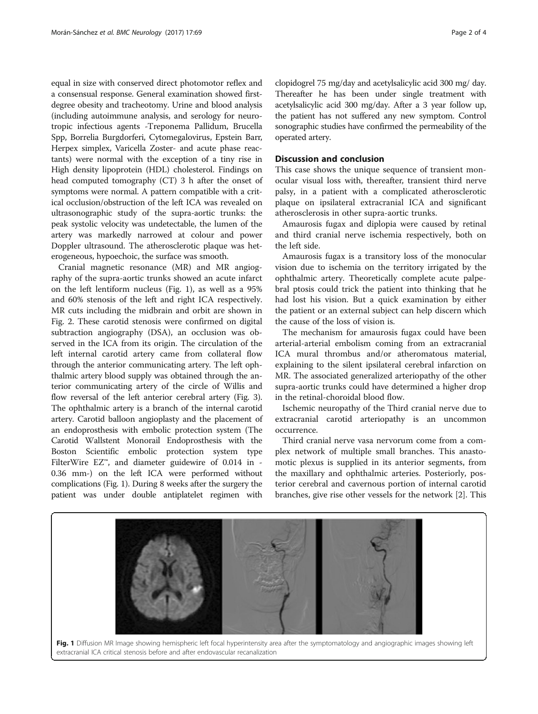equal in size with conserved direct photomotor reflex and a consensual response. General examination showed firstdegree obesity and tracheotomy. Urine and blood analysis (including autoimmune analysis, and serology for neurotropic infectious agents -Treponema Pallidum, Brucella Spp, Borrelia Burgdorferi, Cytomegalovirus, Epstein Barr, Herpex simplex, Varicella Zoster- and acute phase reactants) were normal with the exception of a tiny rise in High density lipoprotein (HDL) cholesterol. Findings on head computed tomography (CT) 3 h after the onset of symptoms were normal. A pattern compatible with a critical occlusion/obstruction of the left ICA was revealed on ultrasonographic study of the supra-aortic trunks: the peak systolic velocity was undetectable, the lumen of the artery was markedly narrowed at colour and power Doppler ultrasound. The atherosclerotic plaque was heterogeneous, hypoechoic, the surface was smooth.

Cranial magnetic resonance (MR) and MR angiography of the supra-aortic trunks showed an acute infarct on the left lentiform nucleus (Fig. 1), as well as a 95% and 60% stenosis of the left and right ICA respectively. MR cuts including the midbrain and orbit are shown in Fig. [2.](#page-2-0) These carotid stenosis were confirmed on digital subtraction angiography (DSA), an occlusion was observed in the ICA from its origin. The circulation of the left internal carotid artery came from collateral flow through the anterior communicating artery. The left ophthalmic artery blood supply was obtained through the anterior communicating artery of the circle of Willis and flow reversal of the left anterior cerebral artery (Fig. [3](#page-2-0)). The ophthalmic artery is a branch of the internal carotid artery. Carotid balloon angioplasty and the placement of an endoprosthesis with embolic protection system (The Carotid Wallstent Monorail Endoprosthesis with the Boston Scientific embolic protection system type FilterWire EZ™, and diameter guidewire of 0.014 in - 0.36 mm-) on the left ICA were performed without complications (Fig. 1). During 8 weeks after the surgery the patient was under double antiplatelet regimen with clopidogrel 75 mg/day and acetylsalicylic acid 300 mg/ day. Thereafter he has been under single treatment with acetylsalicylic acid 300 mg/day. After a 3 year follow up, the patient has not suffered any new symptom. Control sonographic studies have confirmed the permeability of the operated artery.

# Discussion and conclusion

This case shows the unique sequence of transient monocular visual loss with, thereafter, transient third nerve palsy, in a patient with a complicated atherosclerotic plaque on ipsilateral extracranial ICA and significant atherosclerosis in other supra-aortic trunks.

Amaurosis fugax and diplopia were caused by retinal and third cranial nerve ischemia respectively, both on the left side.

Amaurosis fugax is a transitory loss of the monocular vision due to ischemia on the territory irrigated by the ophthalmic artery. Theoretically complete acute palpebral ptosis could trick the patient into thinking that he had lost his vision. But a quick examination by either the patient or an external subject can help discern which the cause of the loss of vision is.

The mechanism for amaurosis fugax could have been arterial-arterial embolism coming from an extracranial ICA mural thrombus and/or atheromatous material, explaining to the silent ipsilateral cerebral infarction on MR. The associated generalized arteriopathy of the other supra-aortic trunks could have determined a higher drop in the retinal-choroidal blood flow.

Ischemic neuropathy of the Third cranial nerve due to extracranial carotid arteriopathy is an uncommon occurrence.

Third cranial nerve vasa nervorum come from a complex network of multiple small branches. This anastomotic plexus is supplied in its anterior segments, from the maxillary and ophthalmic arteries. Posteriorly, posterior cerebral and cavernous portion of internal carotid branches, give rise other vessels for the network [\[2](#page-3-0)]. This



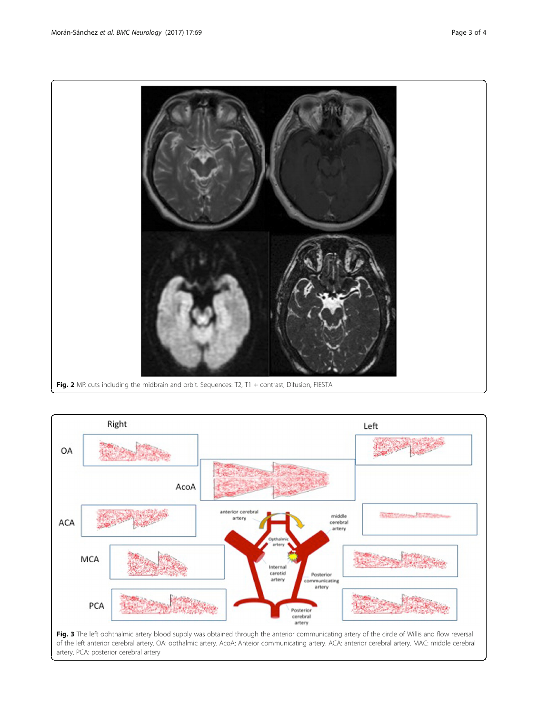<span id="page-2-0"></span>